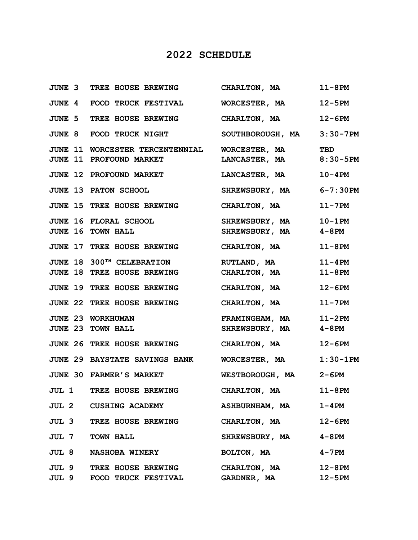## **2022 SCHEDULE**

|       | JUNE 3 TREE HOUSE BREWING                            | CHARLTON, MA          | $11-8$ PM     |
|-------|------------------------------------------------------|-----------------------|---------------|
|       | <b>JUNE 4 FOOD TRUCK FESTIVAL</b>                    | WORCESTER, MA         | $12 - 5PM$    |
|       | JUNE 5 TREE HOUSE BREWING                            | CHARLTON, MA          | $12-6PM$      |
|       | JUNE 8 FOOD TRUCK NIGHT                              | SOUTHBOROUGH, MA      | $3:30 - 7PM$  |
|       | JUNE 11 WORCESTER TERCENTENNIAL                      | WORCESTER, MA         | <b>TBD</b>    |
|       | JUNE 11 PROFOUND MARKET                              | LANCASTER, MA         | $8:30 - 5PM$  |
|       | <b>JUNE 12 PROFOUND MARKET</b>                       | <b>LANCASTER, MA</b>  | $10 - 4$ PM   |
|       | <b>JUNE 13 PATON SCHOOL</b>                          | <b>SHREWSBURY, MA</b> | $6 - 7:30$ PM |
|       | <b>JUNE 15 TREE HOUSE BREWING</b>                    | CHARLTON, MA          | $11 - 7$ PM   |
|       | JUNE 16 FLORAL SCHOOL                                | <b>SHREWSBURY, MA</b> | $10-1$ PM     |
|       | JUNE 16 TOWN HALL                                    | <b>SHREWSBURY, MA</b> | 4-8PM         |
|       | JUNE 17 TREE HOUSE BREWING                           | CHARLTON, MA          | $11-8$ PM     |
|       | JUNE 18 300TH CELEBRATION                            | RUTLAND, MA           | $11 - 4$ PM   |
|       | <b>JUNE 18 TREE HOUSE BREWING</b>                    | CHARLTON, MA          | $11-8$ PM     |
|       | <b>JUNE 19 TREE HOUSE BREWING</b>                    | CHARLTON, MA          | $12-6PM$      |
|       | JUNE 22 TREE HOUSE BREWING                           | CHARLTON, MA          | $11 - 7$ PM   |
|       | JUNE 23 WORKHUMAN                                    | FRAMINGHAM, MA 11-2PM |               |
|       | JUNE 23 TOWN HALL                                    | SHREWSBURY, MA        | 4-8PM         |
|       | JUNE 26 TREE HOUSE BREWING                           | CHARLTON, MA          | $12-6PM$      |
|       | JUNE 29 BAYSTATE SAVINGS BANK WORCESTER, MA 1:30-1PM |                       |               |
|       | JUNE 30 FARMER'S MARKET                              | WESTBOROUGH, MA 2-6PM |               |
|       | JUL 1 TREE HOUSE BREWING CHARLTON, MA 11-8PM         |                       |               |
| JUL 2 | <b>CUSHING ACADEMY</b>                               | <b>ASHBURNHAM, MA</b> | $1 - 4$ PM    |
| JUL 3 | TREE HOUSE BREWING                                   | CHARLTON, MA          | $12-6PM$      |
|       | <b>JUL 7 TOWN HALL</b>                               | SHREWSBURY, MA        | 4-8PM         |
| JUL 8 | <b>NASHOBA WINERY</b>                                | BOLTON, MA            | 4-7PM         |
|       | <b>JUL 9 TREE HOUSE BREWING</b>                      | CHARLTON, MA          | $12 - 8$ PM   |
| JUL 9 | FOOD TRUCK FESTIVAL                                  | <b>GARDNER, MA</b>    | $12 - 5PM$    |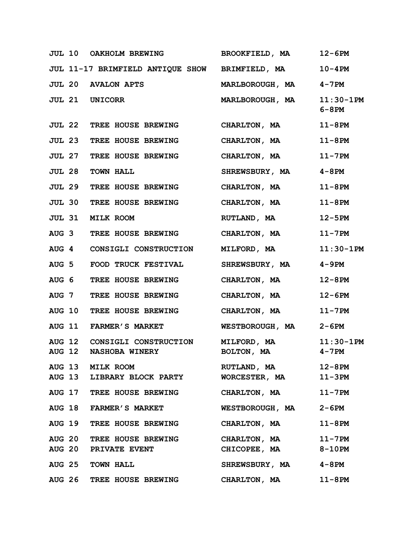|                  |               | <b>JUL 10 OAKHOLM BREWING</b>                  | <b>BROOKFIELD, MA</b>  | 12-6PM                    |
|------------------|---------------|------------------------------------------------|------------------------|---------------------------|
|                  |               | JUL 11-17 BRIMFIELD ANTIQUE SHOW BRIMFIELD, MA |                        | $10 - 4$ PM               |
|                  |               | <b>JUL 20 AVALON APTS</b>                      | <b>MARLBOROUGH, MA</b> | 4-7PM                     |
|                  |               | <b>JUL 21 UNICORR</b>                          | <b>MARLBOROUGH, MA</b> | $11:30-1PM$<br>$6 - 8$ PM |
|                  |               | <b>JUL 22 TREE HOUSE BREWING</b>               | CHARLTON, MA           | $11-8$ PM                 |
|                  |               | <b>JUL 23 TREE HOUSE BREWING</b>               | CHARLTON, MA           | $11-8$ PM                 |
|                  | <b>JUL 27</b> | TREE HOUSE BREWING                             | CHARLTON, MA           | $11-7$ PM                 |
|                  | <b>JUL 28</b> | <b>TOWN HALL</b>                               | <b>SHREWSBURY, MA</b>  | $4 - 8$ PM                |
|                  | <b>JUL 29</b> | TREE HOUSE BREWING                             | CHARLTON, MA           | $11-8$ PM                 |
|                  |               | JUL 30 TREE HOUSE BREWING                      | CHARLTON, MA           | $11-8$ PM                 |
|                  | <b>JUL 31</b> | <b>MILK ROOM</b>                               | RUTLAND, MA            | $12 - 5PM$                |
|                  |               | AUG 3 TREE HOUSE BREWING                       | CHARLTON, MA           | $11 - 7$ PM               |
|                  |               | AUG 4 CONSIGLI CONSTRUCTION                    | MILFORD, MA            | $11:30-1PM$               |
| AUG <sub>5</sub> |               | FOOD TRUCK FESTIVAL                            | SHREWSBURY, MA         | 4-9PM                     |
| AUG <sub>6</sub> |               | TREE HOUSE BREWING                             | CHARLTON, MA           | $12 - 8$ PM               |
|                  |               | AUG 7 TREE HOUSE BREWING                       | CHARLTON, MA           | $12-6PM$                  |
|                  | <b>AUG 10</b> | TREE HOUSE BREWING                             | CHARLTON, MA           | $11 - 7$ PM               |
|                  |               | AUG 11 FARMER'S MARKET                         | WESTBOROUGH, MA        | 2-6PM                     |
|                  | <b>AUG 12</b> | CONSIGLI CONSTRUCTION                          | <b>MILFORD, MA</b>     | $11:30-1PM$               |
| <b>AUG 12</b>    |               | <b>NASHOBA WINERY</b>                          | BOLTON, MA             | $4 - 7$ PM                |
|                  |               | AUG 13 MILK ROOM                               | RUTLAND, MA            | $12 - 8$ PM               |
|                  |               | AUG 13 LIBRARY BLOCK PARTY                     | WORCESTER, MA          | $11-3PM$                  |
|                  |               | AUG 17 TREE HOUSE BREWING                      | CHARLTON, MA           | $11 - 7$ PM               |
|                  |               | AUG 18 FARMER'S MARKET                         | WESTBOROUGH, MA        | $2 - 6PM$                 |
|                  |               | AUG 19 TREE HOUSE BREWING                      | CHARLTON, MA           | $11-8$ PM                 |
|                  |               | AUG 20 TREE HOUSE BREWING                      | CHARLTON, MA           | $11 - 7$ PM               |
|                  |               | <b>AUG 20 PRIVATE EVENT</b>                    | CHICOPEE, MA           | $8-10$ PM                 |
|                  |               | AUG 25 TOWN HALL                               | SHREWSBURY, MA         | 4-8PM                     |
|                  |               | AUG 26 TREE HOUSE BREWING CHARLTON, MA         |                        | $11-8$ PM                 |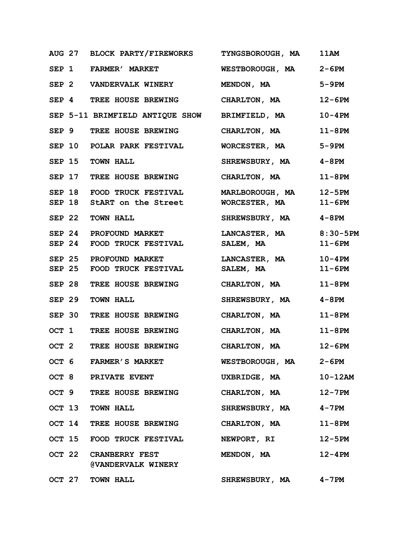|               | AUG 27 BLOCK PARTY/FIREWORKS TYNGSBOROUGH, MA      |                        | 11AM        |
|---------------|----------------------------------------------------|------------------------|-------------|
|               | SEP 1 FARMER' MARKET WESTBOROUGH, MA 2-6PM         |                        |             |
|               | SEP 2 VANDERVALK WINERY MENDON, MA                 |                        | $5-9PM$     |
|               | SEP 4 TREE HOUSE BREWING CHARLTON, MA              |                        | $12-6PM$    |
|               | SEP 5-11 BRIMFIELD ANTIQUE SHOW BRIMFIELD, MA      |                        | $10 - 4$ PM |
|               | SEP 9 TREE HOUSE BREWING CHARLTON, MA              |                        | $11-8PM$    |
|               | SEP 10 POLAR PARK FESTIVAL                         | WORCESTER, MA          | 5-9PM       |
|               | SEP 15 TOWN HALL                                   | SHREWSBURY, MA 4-8PM   |             |
|               | SEP 17 TREE HOUSE BREWING CHARLTON, MA 11-8PM      |                        |             |
|               | SEP 18 FOOD TRUCK FESTIVAL MARLBOROUGH, MA 12-5PM  |                        |             |
|               | SEP 18 StART on the Street WORCESTER, MA           |                        | $11-6PM$    |
|               | SEP 22 TOWN HALL                                   | SHREWSBURY, MA 4-8PM   |             |
|               | SEP 24 PROFOUND MARKET                             | LANCASTER, MA 8:30-5PM |             |
| <b>SEP 24</b> | FOOD TRUCK FESTIVAL SALEM, MA                      |                        | $11-6PM$    |
|               | SEP 25 PROFOUND MARKET LANCASTER, MA 10-4PM        |                        |             |
| <b>SEP 25</b> | FOOD TRUCK FESTIVAL SALEM, MA                      |                        | $11-6PM$    |
|               | SEP 28 TREE HOUSE BREWING CHARLTON, MA             |                        | $11-8$ PM   |
|               | SEP 29 TOWN HALL                                   | SHREWSBURY, MA 4-8PM   |             |
|               | SEP 30 TREE HOUSE BREWING CHARLTON, MA             |                        | $11-8$ PM   |
|               | OCT 1 TREE HOUSE BREWING                           | CHARLTON, MA           | $11-8PM$    |
|               | OCT 2 TREE HOUSE BREWING CHARLTON, MA              |                        | $12 - 6PM$  |
|               | OCT 6 FARMER'S MARKET                              | WESTBOROUGH, MA 2-6PM  |             |
|               | OCT 8 PRIVATE EVENT                                | UXBRIDGE, MA           | $10-12AM$   |
|               | OCT 9 TREE HOUSE BREWING CHARLTON, MA              |                        | $12 - 7$ PM |
|               | OCT 13 TOWN HALL                                   | SHREWSBURY, MA 4-7PM   |             |
|               | OCT 14 TREE HOUSE BREWING                          | CHARLTON, MA           | $11-8$ PM   |
|               | OCT 15 FOOD TRUCK FESTIVAL                         | NEWPORT, RI            | $12 - 5PM$  |
|               | OCT 22 CRANBERRY FEST<br><b>@VANDERVALK WINERY</b> | MENDON, MA             | $12 - 4$ PM |
|               | OCT 27 TOWN HALL                                   | SHREWSBURY, MA 4-7PM   |             |
|               |                                                    |                        |             |